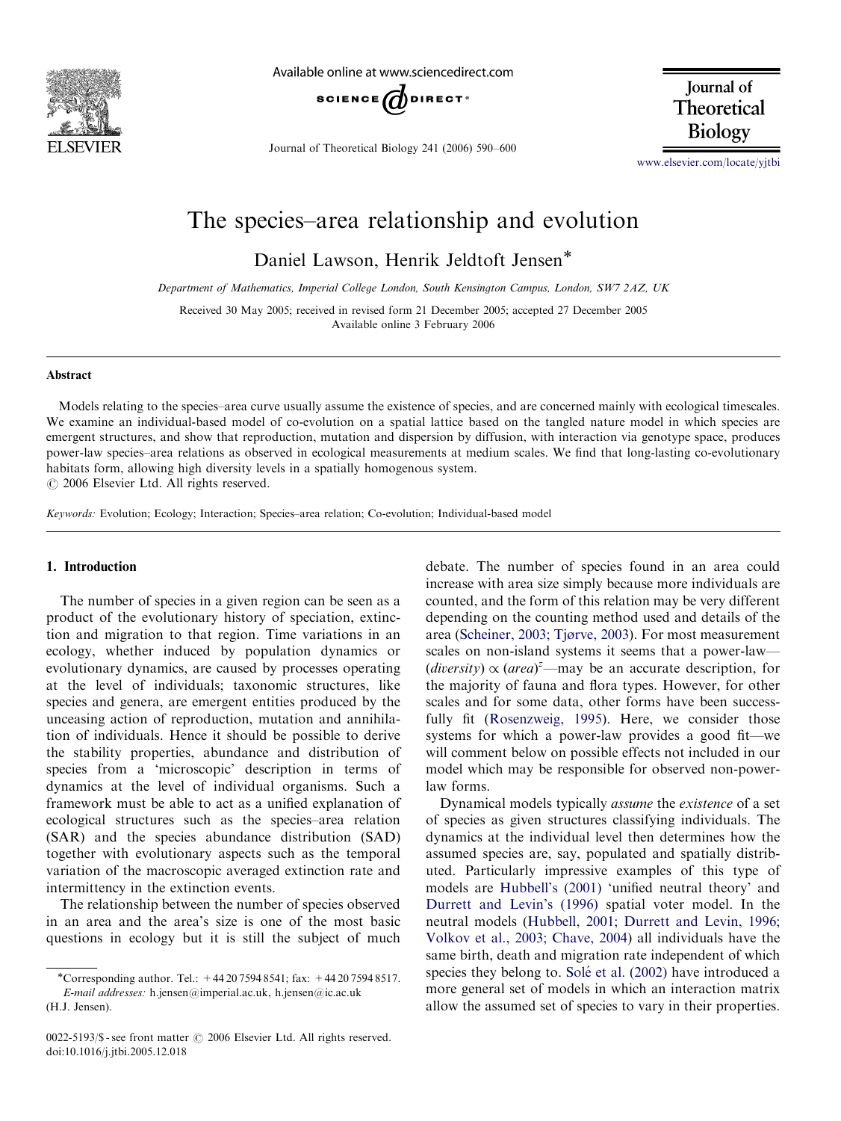

Available online at www.sciencedirect.com



Journal of Theoretical Biology 241 (2006) 590–600

Journal of Theoretical **Biology** 

<www.elsevier.com/locate/yjtbi>

# The species–area relationship and evolution

Daniel Lawson, Henrik Jeldtoft Jensen

Department of Mathematics, Imperial College London, South Kensington Campus, London, SW7 2AZ, UK

Received 30 May 2005; received in revised form 21 December 2005; accepted 27 December 2005 Available online 3 February 2006

#### Abstract

Models relating to the species–area curve usually assume the existence of species, and are concerned mainly with ecological timescales. We examine an individual-based model of co-evolution on a spatial lattice based on the tangled nature model in which species are emergent structures, and show that reproduction, mutation and dispersion by diffusion, with interaction via genotype space, produces power-law species–area relations as observed in ecological measurements at medium scales. We find that long-lasting co-evolutionary habitats form, allowing high diversity levels in a spatially homogenous system.

 $\odot$  2006 Elsevier Ltd. All rights reserved.

Keywords: Evolution; Ecology; Interaction; Species–area relation; Co-evolution; Individual-based model

#### 1. Introduction

The number of species in a given region can be seen as a product of the evolutionary history of speciation, extinction and migration to that region. Time variations in an ecology, whether induced by population dynamics or evolutionary dynamics, are caused by processes operating at the level of individuals; taxonomic structures, like species and genera, are emergent entities produced by the unceasing action of reproduction, mutation and annihilation of individuals. Hence it should be possible to derive the stability properties, abundance and distribution of species from a 'microscopic' description in terms of dynamics at the level of individual organisms. Such a framework must be able to act as a unified explanation of ecological structures such as the species–area relation (SAR) and the species abundance distribution (SAD) together with evolutionary aspects such as the temporal variation of the macroscopic averaged extinction rate and intermittency in the extinction events.

The relationship between the number of species observed in an area and the area's size is one of the most basic questions in ecology but it is still the subject of much debate. The number of species found in an area could increase with area size simply because more individuals are counted, and the form of this relation may be very different depending on the counting method used and details of the area ([Scheiner, 2003; Tjørve, 2003\)](#page-10-0). For most measurement scales on non-island systems it seems that a power-law— (diversity)  $\propto (area)^{2}$ —may be an accurate description, for the majority of fauna and flora types. However, for other scales and for some data, other forms have been success-fully fit ([Rosenzweig, 1995\)](#page-10-0). Here, we consider those systems for which a power-law provides a good fit—we will comment below on possible effects not included in our model which may be responsible for observed non-powerlaw forms.

Dynamical models typically assume the existence of a set of species as given structures classifying individuals. The dynamics at the individual level then determines how the assumed species are, say, populated and spatially distributed. Particularly impressive examples of this type of models are [Hubbell's \(2001\)](#page-10-0) 'unified neutral theory' and [Durrett and Levin's \(1996\)](#page-10-0) spatial voter model. In the neutral models ([Hubbell, 2001; Durrett and Levin, 1996;](#page-10-0) [Volkov et al., 2003; Chave, 2004\)](#page-10-0) all individuals have the same birth, death and migration rate independent of which species they belong to. Solé [et al. \(2002\)](#page-10-0) have introduced a more general set of models in which an interaction matrix allow the assumed set of species to vary in their properties.

<sup>\*</sup>Corresponding author. Tel.:  $+442075948541$ ; fax:  $+442075948517$ . E-mail addresses: h.jensen@imperial.ac.uk, h.jensen@ic.ac.uk (H.J. Jensen).

<sup>0022-5193/\$ -</sup> see front matter © 2006 Elsevier Ltd. All rights reserved. doi:10.1016/j.jtbi.2005.12.018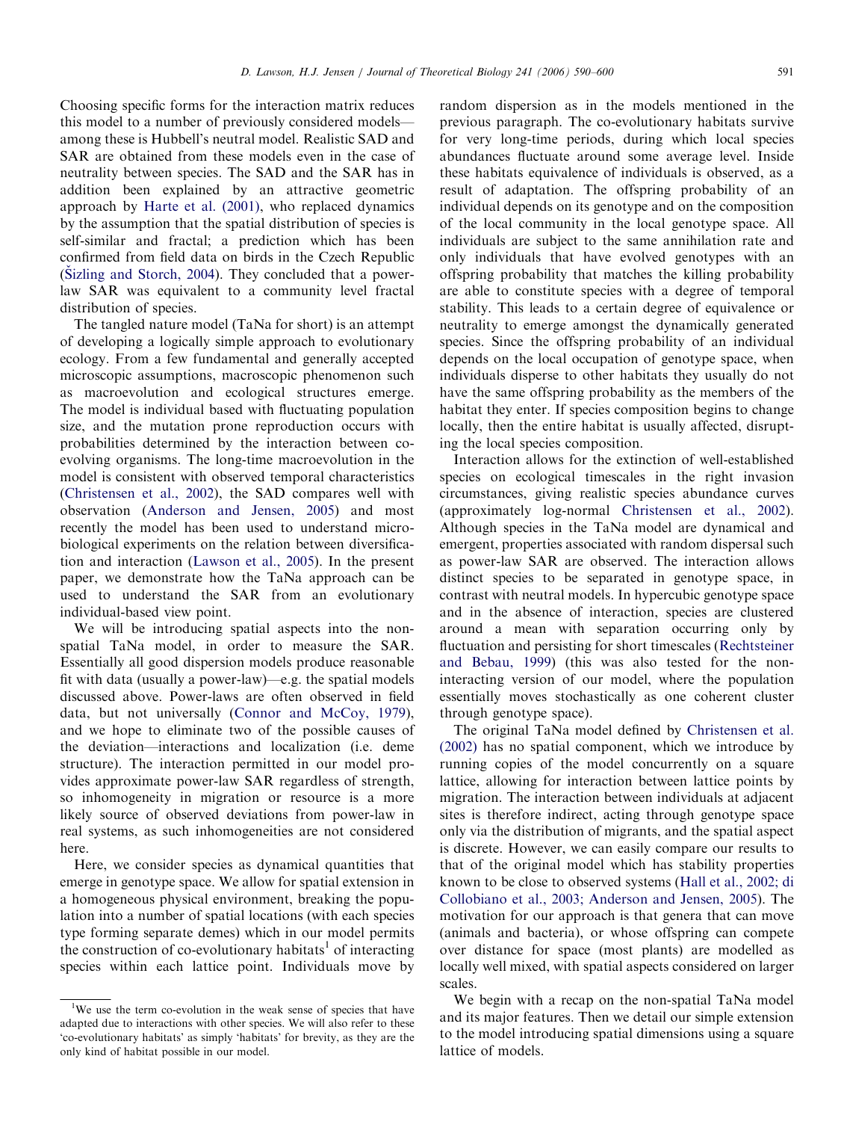Choosing specific forms for the interaction matrix reduces this model to a number of previously considered models among these is Hubbell's neutral model. Realistic SAD and SAR are obtained from these models even in the case of neutrality between species. The SAD and the SAR has in addition been explained by an attractive geometric approach by [Harte et al. \(2001\)](#page-10-0), who replaced dynamics by the assumption that the spatial distribution of species is self-similar and fractal; a prediction which has been confirmed from field data on birds in the Czech Republic  $(Sizling and Storch, 2004)$ . They concluded that a powerlaw SAR was equivalent to a community level fractal distribution of species.

The tangled nature model (TaNa for short) is an attempt of developing a logically simple approach to evolutionary ecology. From a few fundamental and generally accepted microscopic assumptions, macroscopic phenomenon such as macroevolution and ecological structures emerge. The model is individual based with fluctuating population size, and the mutation prone reproduction occurs with probabilities determined by the interaction between coevolving organisms. The long-time macroevolution in the model is consistent with observed temporal characteristics ([Christensen et al., 2002\)](#page-10-0), the SAD compares well with observation [\(Anderson and Jensen, 2005](#page-9-0)) and most recently the model has been used to understand microbiological experiments on the relation between diversification and interaction ([Lawson et al., 2005\)](#page-10-0). In the present paper, we demonstrate how the TaNa approach can be used to understand the SAR from an evolutionary individual-based view point.

We will be introducing spatial aspects into the nonspatial TaNa model, in order to measure the SAR. Essentially all good dispersion models produce reasonable fit with data (usually a power-law)—e.g. the spatial models discussed above. Power-laws are often observed in field data, but not universally [\(Connor and McCoy, 1979\)](#page-10-0), and we hope to eliminate two of the possible causes of the deviation—interactions and localization (i.e. deme structure). The interaction permitted in our model provides approximate power-law SAR regardless of strength, so inhomogeneity in migration or resource is a more likely source of observed deviations from power-law in real systems, as such inhomogeneities are not considered here.

Here, we consider species as dynamical quantities that emerge in genotype space. We allow for spatial extension in a homogeneous physical environment, breaking the population into a number of spatial locations (with each species type forming separate demes) which in our model permits the construction of co-evolutionary habitats<sup>1</sup> of interacting species within each lattice point. Individuals move by random dispersion as in the models mentioned in the previous paragraph. The co-evolutionary habitats survive for very long-time periods, during which local species abundances fluctuate around some average level. Inside these habitats equivalence of individuals is observed, as a result of adaptation. The offspring probability of an individual depends on its genotype and on the composition of the local community in the local genotype space. All individuals are subject to the same annihilation rate and only individuals that have evolved genotypes with an offspring probability that matches the killing probability are able to constitute species with a degree of temporal stability. This leads to a certain degree of equivalence or neutrality to emerge amongst the dynamically generated species. Since the offspring probability of an individual depends on the local occupation of genotype space, when individuals disperse to other habitats they usually do not have the same offspring probability as the members of the habitat they enter. If species composition begins to change locally, then the entire habitat is usually affected, disrupting the local species composition.

Interaction allows for the extinction of well-established species on ecological timescales in the right invasion circumstances, giving realistic species abundance curves (approximately log-normal [Christensen et al., 2002\)](#page-10-0). Although species in the TaNa model are dynamical and emergent, properties associated with random dispersal such as power-law SAR are observed. The interaction allows distinct species to be separated in genotype space, in contrast with neutral models. In hypercubic genotype space and in the absence of interaction, species are clustered around a mean with separation occurring only by fluctuation and persisting for short timescales [\(Rechtsteiner](#page-10-0) [and Bebau, 1999\)](#page-10-0) (this was also tested for the noninteracting version of our model, where the population essentially moves stochastically as one coherent cluster through genotype space).

The original TaNa model defined by [Christensen et al.](#page-10-0) [\(2002\)](#page-10-0) has no spatial component, which we introduce by running copies of the model concurrently on a square lattice, allowing for interaction between lattice points by migration. The interaction between individuals at adjacent sites is therefore indirect, acting through genotype space only via the distribution of migrants, and the spatial aspect is discrete. However, we can easily compare our results to that of the original model which has stability properties known to be close to observed systems ([Hall et al., 2002; di](#page-10-0) [Collobiano et al., 2003; Anderson and Jensen, 2005](#page-10-0)). The motivation for our approach is that genera that can move (animals and bacteria), or whose offspring can compete over distance for space (most plants) are modelled as locally well mixed, with spatial aspects considered on larger scales.

We begin with a recap on the non-spatial TaNa model and its major features. Then we detail our simple extension to the model introducing spatial dimensions using a square lattice of models.

<sup>&</sup>lt;sup>1</sup>We use the term co-evolution in the weak sense of species that have adapted due to interactions with other species. We will also refer to these 'co-evolutionary habitats' as simply 'habitats' for brevity, as they are the only kind of habitat possible in our model.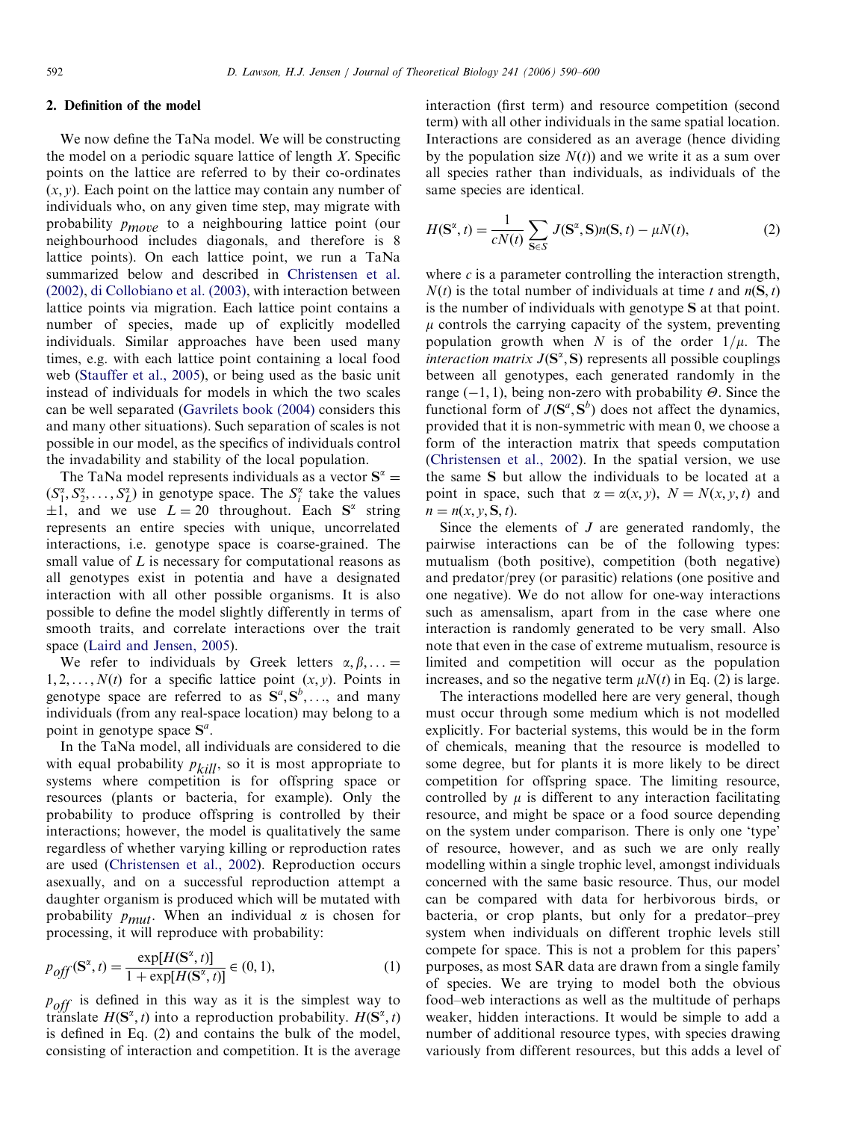## 2. Definition of the model

We now define the TaNa model. We will be constructing the model on a periodic square lattice of length  $X$ . Specific points on the lattice are referred to by their co-ordinates  $(x, y)$ . Each point on the lattice may contain any number of individuals who, on any given time step, may migrate with probability  $p_{move}$  to a neighbouring lattice point (our neighbourhood includes diagonals, and therefore is 8 lattice points). On each lattice point, we run a TaNa summarized below and described in [Christensen et al.](#page-10-0) [\(2002\)](#page-10-0), [di Collobiano et al. \(2003\),](#page-10-0) with interaction between lattice points via migration. Each lattice point contains a number of species, made up of explicitly modelled individuals. Similar approaches have been used many times, e.g. with each lattice point containing a local food web [\(Stauffer et al., 2005\)](#page-10-0), or being used as the basic unit instead of individuals for models in which the two scales can be well separated ([Gavrilets book \(2004\)](#page-10-0) considers this and many other situations). Such separation of scales is not possible in our model, as the specifics of individuals control the invadability and stability of the local population.

The TaNa model represents individuals as a vector  $S^{\alpha}$  =  $(S_1^{\alpha}, S_2^{\alpha}, \ldots, S_L^{\alpha})$  in genotype space. The  $S_i^{\alpha}$  take the values  $\pm 1$ , and we use  $L = 20$  throughout. Each  $S^{\alpha}$  string represents an entire species with unique, uncorrelated interactions, i.e. genotype space is coarse-grained. The small value of  $L$  is necessary for computational reasons as all genotypes exist in potentia and have a designated interaction with all other possible organisms. It is also possible to define the model slightly differently in terms of smooth traits, and correlate interactions over the trait space [\(Laird and Jensen, 2005\)](#page-10-0).

We refer to individuals by Greek letters  $\alpha, \beta, ... =$  $1, 2, \ldots, N(t)$  for a specific lattice point  $(x, y)$ . Points in genotype space are referred to as  $S^a, S^b, \ldots$ , and many individuals (from any real-space location) may belong to a point in genotype space  $S^a$ .

In the TaNa model, all individuals are considered to die with equal probability  $p_{kill}$ , so it is most appropriate to systems where competition is for offspring space or resources (plants or bacteria, for example). Only the probability to produce offspring is controlled by their interactions; however, the model is qualitatively the same regardless of whether varying killing or reproduction rates are used [\(Christensen et al., 2002\)](#page-10-0). Reproduction occurs asexually, and on a successful reproduction attempt a daughter organism is produced which will be mutated with probability  $p_{mult}$ . When an individual  $\alpha$  is chosen for processing, it will reproduce with probability:

$$
p_{off}(\mathbf{S}^{\alpha}, t) = \frac{\exp[H(\mathbf{S}^{\alpha}, t)]}{1 + \exp[H(\mathbf{S}^{\alpha}, t)]} \in (0, 1),
$$
 (1)

 $p_{off}$  is defined in this way as it is the simplest way to translate  $H(\mathbf{S}^{\alpha}, t)$  into a reproduction probability.  $H(\mathbf{S}^{\alpha}, t)$ is defined in Eq. (2) and contains the bulk of the model, consisting of interaction and competition. It is the average interaction (first term) and resource competition (second term) with all other individuals in the same spatial location. Interactions are considered as an average (hence dividing by the population size  $N(t)$  and we write it as a sum over all species rather than individuals, as individuals of the same species are identical.

$$
H(\mathbf{S}^{\alpha}, t) = \frac{1}{cN(t)} \sum_{\mathbf{S} \in S} J(\mathbf{S}^{\alpha}, \mathbf{S}) n(\mathbf{S}, t) - \mu N(t),
$$
 (2)

where  $c$  is a parameter controlling the interaction strength,  $N(t)$  is the total number of individuals at time t and  $n(S, t)$ is the number of individuals with genotype S at that point.  $\mu$  controls the carrying capacity of the system, preventing population growth when N is of the order  $1/\mu$ . The interaction matrix  $J(\mathbf{S}^{\alpha}, \mathbf{S})$  represents all possible couplings between all genotypes, each generated randomly in the range  $(-1, 1)$ , being non-zero with probability  $\Theta$ . Since the functional form of  $J(\mathbf{S}^a, \mathbf{S}^b)$  does not affect the dynamics, provided that it is non-symmetric with mean 0, we choose a form of the interaction matrix that speeds computation [\(Christensen et al., 2002\)](#page-10-0). In the spatial version, we use the same S but allow the individuals to be located at a point in space, such that  $\alpha = \alpha(x, y)$ ,  $N = N(x, y, t)$  and  $n = n(x, y, S, t).$ 

Since the elements of  $J$  are generated randomly, the pairwise interactions can be of the following types: mutualism (both positive), competition (both negative) and predator/prey (or parasitic) relations (one positive and one negative). We do not allow for one-way interactions such as amensalism, apart from in the case where one interaction is randomly generated to be very small. Also note that even in the case of extreme mutualism, resource is limited and competition will occur as the population increases, and so the negative term  $\mu N(t)$  in Eq. (2) is large.

The interactions modelled here are very general, though must occur through some medium which is not modelled explicitly. For bacterial systems, this would be in the form of chemicals, meaning that the resource is modelled to some degree, but for plants it is more likely to be direct competition for offspring space. The limiting resource, controlled by  $\mu$  is different to any interaction facilitating resource, and might be space or a food source depending on the system under comparison. There is only one 'type' of resource, however, and as such we are only really modelling within a single trophic level, amongst individuals concerned with the same basic resource. Thus, our model can be compared with data for herbivorous birds, or bacteria, or crop plants, but only for a predator–prey system when individuals on different trophic levels still compete for space. This is not a problem for this papers' purposes, as most SAR data are drawn from a single family of species. We are trying to model both the obvious food–web interactions as well as the multitude of perhaps weaker, hidden interactions. It would be simple to add a number of additional resource types, with species drawing variously from different resources, but this adds a level of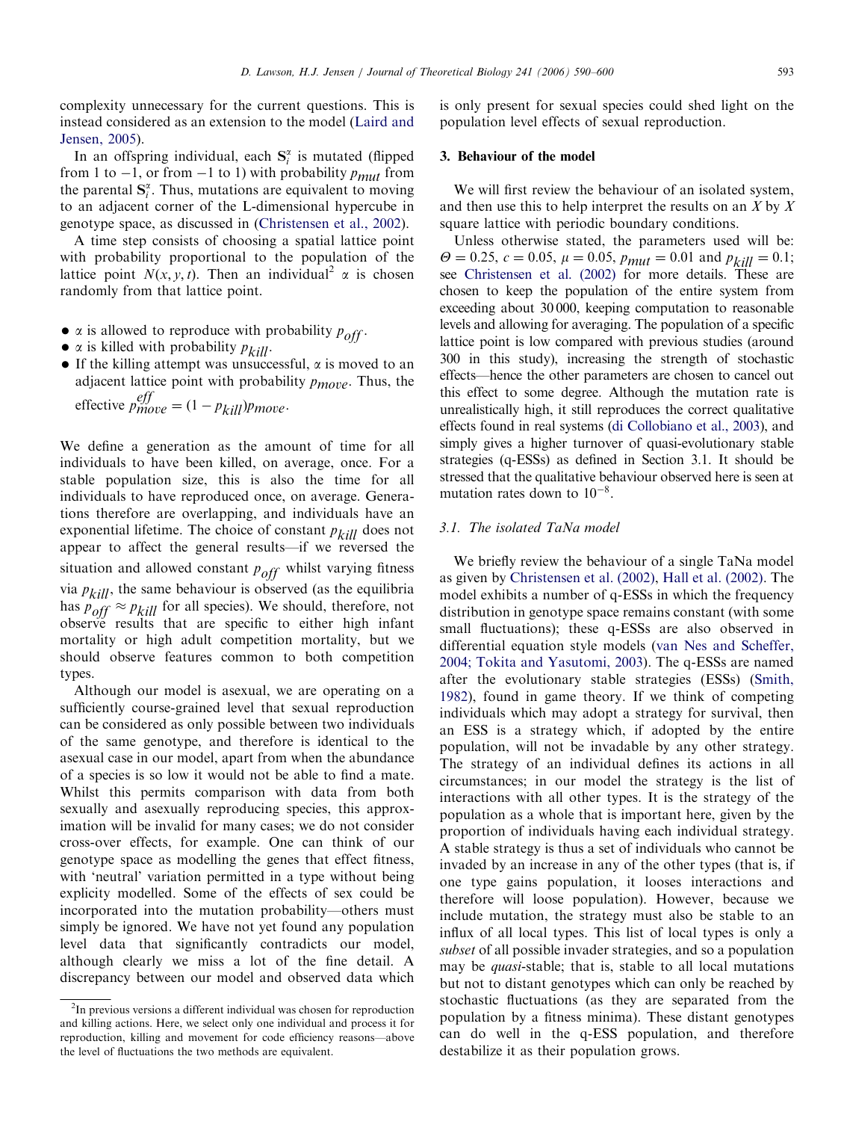complexity unnecessary for the current questions. This is instead considered as an extension to the model [\(Laird and](#page-10-0) [Jensen, 2005](#page-10-0)).

In an offspring individual, each  $S_i^{\alpha}$  is mutated (flipped from 1 to -1, or from -1 to 1) with probability  $p_{mut}$  from the parental  $S_i^{\alpha}$ . Thus, mutations are equivalent to moving to an adjacent corner of the L-dimensional hypercube in genotype space, as discussed in [\(Christensen et al., 2002](#page-10-0)).

A time step consists of choosing a spatial lattice point with probability proportional to the population of the lattice point  $N(x, y, t)$ . Then an individual<sup>2</sup>  $\alpha$  is chosen randomly from that lattice point.

- $\alpha$  is allowed to reproduce with probability  $p_{off}$ .
- $\alpha$  is killed with probability  $p_{kill}$ .
- $\bullet$  If the killing attempt was unsuccessful,  $\alpha$  is moved to an adjacent lattice point with probability  $p_{move}$ . Thus, the effective  $p_{move}^{eff} = (1 - p_{kill})p_{move}$ .

We define a generation as the amount of time for all individuals to have been killed, on average, once. For a stable population size, this is also the time for all individuals to have reproduced once, on average. Generations therefore are overlapping, and individuals have an exponential lifetime. The choice of constant  $p_{kill}$  does not appear to affect the general results—if we reversed the situation and allowed constant  $p_{off}$  whilst varying fitness via  $p_{kill}$ , the same behaviour is observed (as the equilibria has  $p_{off} \approx p_{kill}$  for all species). We should, therefore, not observe results that are specific to either high infant mortality or high adult competition mortality, but we should observe features common to both competition types.

Although our model is asexual, we are operating on a sufficiently course-grained level that sexual reproduction can be considered as only possible between two individuals of the same genotype, and therefore is identical to the asexual case in our model, apart from when the abundance of a species is so low it would not be able to find a mate. Whilst this permits comparison with data from both sexually and asexually reproducing species, this approximation will be invalid for many cases; we do not consider cross-over effects, for example. One can think of our genotype space as modelling the genes that effect fitness, with 'neutral' variation permitted in a type without being explicity modelled. Some of the effects of sex could be incorporated into the mutation probability—others must simply be ignored. We have not yet found any population level data that significantly contradicts our model, although clearly we miss a lot of the fine detail. A discrepancy between our model and observed data which is only present for sexual species could shed light on the population level effects of sexual reproduction.

## 3. Behaviour of the model

We will first review the behaviour of an isolated system, and then use this to help interpret the results on an  $X$  by  $X$ square lattice with periodic boundary conditions.

Unless otherwise stated, the parameters used will be:  $\Theta = 0.25$ ,  $c = 0.05$ ,  $\mu = 0.05$ ,  $p_{mut} = 0.01$  and  $p_{kill} = 0.1$ ; see [Christensen et al. \(2002\)](#page-10-0) for more details. These are chosen to keep the population of the entire system from exceeding about 30 000, keeping computation to reasonable levels and allowing for averaging. The population of a specific lattice point is low compared with previous studies (around 300 in this study), increasing the strength of stochastic effects—hence the other parameters are chosen to cancel out this effect to some degree. Although the mutation rate is unrealistically high, it still reproduces the correct qualitative effects found in real systems ([di Collobiano et al., 2003](#page-10-0)), and simply gives a higher turnover of quasi-evolutionary stable strategies (q-ESSs) as defined in Section 3.1. It should be stressed that the qualitative behaviour observed here is seen at mutation rates down to  $10^{-8}$ .

# 3.1. The isolated TaNa model

We briefly review the behaviour of a single TaNa model as given by [Christensen et al. \(2002\)](#page-10-0), [Hall et al. \(2002\).](#page-10-0) The model exhibits a number of q-ESSs in which the frequency distribution in genotype space remains constant (with some small fluctuations); these q-ESSs are also observed in differential equation style models ([van Nes and Scheffer,](#page-10-0) [2004; Tokita and Yasutomi, 2003\)](#page-10-0). The q-ESSs are named after the evolutionary stable strategies (ESSs) ([Smith,](#page-10-0) [1982](#page-10-0)), found in game theory. If we think of competing individuals which may adopt a strategy for survival, then an ESS is a strategy which, if adopted by the entire population, will not be invadable by any other strategy. The strategy of an individual defines its actions in all circumstances; in our model the strategy is the list of interactions with all other types. It is the strategy of the population as a whole that is important here, given by the proportion of individuals having each individual strategy. A stable strategy is thus a set of individuals who cannot be invaded by an increase in any of the other types (that is, if one type gains population, it looses interactions and therefore will loose population). However, because we include mutation, the strategy must also be stable to an influx of all local types. This list of local types is only a subset of all possible invader strategies, and so a population may be *quasi*-stable; that is, stable to all local mutations but not to distant genotypes which can only be reached by stochastic fluctuations (as they are separated from the population by a fitness minima). These distant genotypes can do well in the q-ESS population, and therefore destabilize it as their population grows.

 $2$ In previous versions a different individual was chosen for reproduction and killing actions. Here, we select only one individual and process it for reproduction, killing and movement for code efficiency reasons—above the level of fluctuations the two methods are equivalent.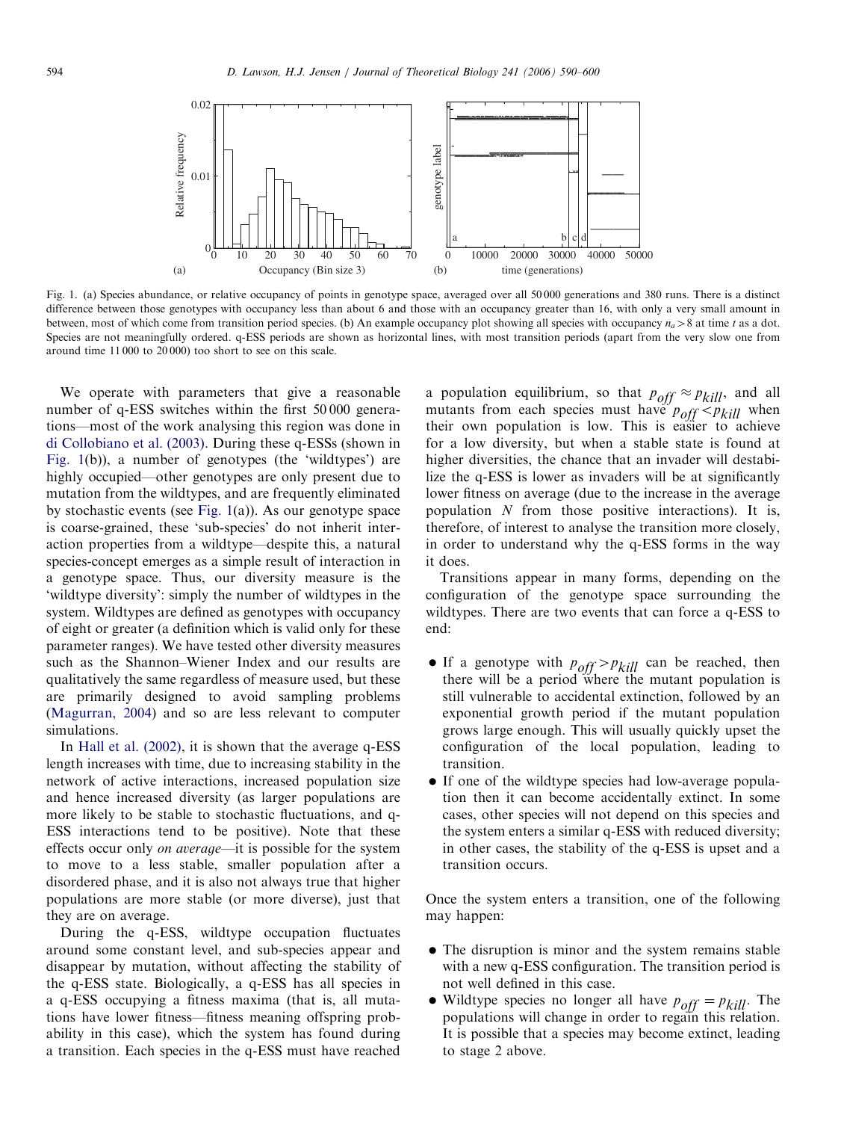

Fig. 1. (a) Species abundance, or relative occupancy of points in genotype space, averaged over all 50 000 generations and 380 runs. There is a distinct difference between those genotypes with occupancy less than about 6 and those with an occupancy greater than 16, with only a very small amount in between, most of which come from transition period species. (b) An example occupancy plot showing all species with occupancy  $n_a > 8$  at time t as a dot. Species are not meaningfully ordered. q-ESS periods are shown as horizontal lines, with most transition periods (apart from the very slow one from around time 11 000 to 20 000) too short to see on this scale.

We operate with parameters that give a reasonable number of q-ESS switches within the first 50 000 generations—most of the work analysing this region was done in [di Collobiano et al. \(2003\)](#page-10-0). During these q-ESSs (shown in Fig. 1(b)), a number of genotypes (the 'wildtypes') are highly occupied—other genotypes are only present due to mutation from the wildtypes, and are frequently eliminated by stochastic events (see Fig. 1(a)). As our genotype space is coarse-grained, these 'sub-species' do not inherit interaction properties from a wildtype—despite this, a natural species-concept emerges as a simple result of interaction in a genotype space. Thus, our diversity measure is the 'wildtype diversity': simply the number of wildtypes in the system. Wildtypes are defined as genotypes with occupancy of eight or greater (a definition which is valid only for these parameter ranges). We have tested other diversity measures such as the Shannon–Wiener Index and our results are qualitatively the same regardless of measure used, but these are primarily designed to avoid sampling problems [\(Magurran, 2004](#page-10-0)) and so are less relevant to computer simulations.

In [Hall et al. \(2002\),](#page-10-0) it is shown that the average q-ESS length increases with time, due to increasing stability in the network of active interactions, increased population size and hence increased diversity (as larger populations are more likely to be stable to stochastic fluctuations, and q-ESS interactions tend to be positive). Note that these effects occur only on average—it is possible for the system to move to a less stable, smaller population after a disordered phase, and it is also not always true that higher populations are more stable (or more diverse), just that they are on average.

During the q-ESS, wildtype occupation fluctuates around some constant level, and sub-species appear and disappear by mutation, without affecting the stability of the q-ESS state. Biologically, a q-ESS has all species in a q-ESS occupying a fitness maxima (that is, all mutations have lower fitness—fitness meaning offspring probability in this case), which the system has found during a transition. Each species in the q-ESS must have reached

a population equilibrium, so that  $p_{off} \approx p_{kill}$ , and all mutants from each species must have  $p_{off} \leq p_{kill}$  when their own population is low. This is easier to achieve for a low diversity, but when a stable state is found at higher diversities, the chance that an invader will destabilize the q-ESS is lower as invaders will be at significantly lower fitness on average (due to the increase in the average population N from those positive interactions). It is, therefore, of interest to analyse the transition more closely, in order to understand why the q-ESS forms in the way it does.

Transitions appear in many forms, depending on the configuration of the genotype space surrounding the wildtypes. There are two events that can force a q-ESS to end:

- If a genotype with  $p_{off} > p_{kill}$  can be reached, then there will be a period where the mutant population is still vulnerable to accidental extinction, followed by an exponential growth period if the mutant population grows large enough. This will usually quickly upset the configuration of the local population, leading to transition.
- If one of the wildtype species had low-average population then it can become accidentally extinct. In some cases, other species will not depend on this species and the system enters a similar q-ESS with reduced diversity; in other cases, the stability of the q-ESS is upset and a transition occurs.

Once the system enters a transition, one of the following may happen:

- The disruption is minor and the system remains stable with a new q-ESS configuration. The transition period is not well defined in this case.
- Wildtype species no longer all have  $p_{off} = p_{kill}$ . The populations will change in order to regain this relation. It is possible that a species may become extinct, leading to stage 2 above.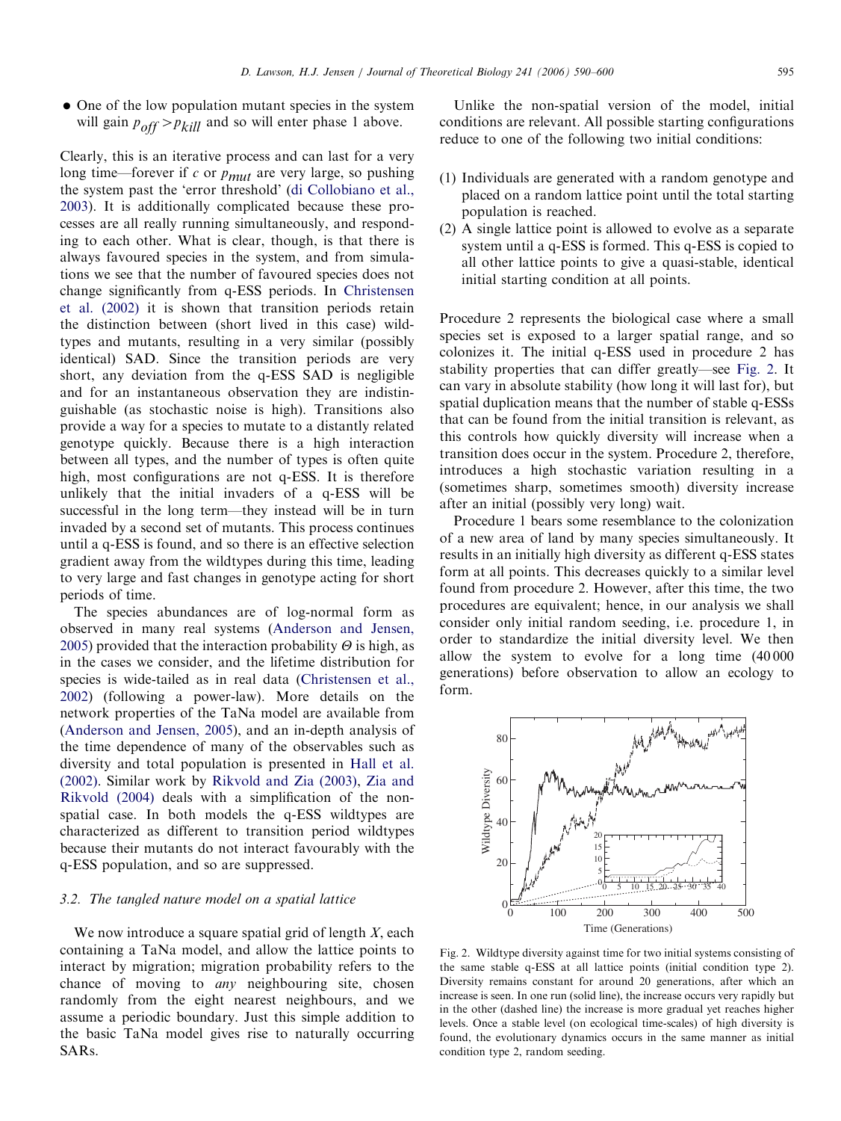<span id="page-5-0"></span>• One of the low population mutant species in the system will gain  $p_{off} > p_{kill}$  and so will enter phase 1 above.

Clearly, this is an iterative process and can last for a very long time—forever if  $c$  or  $p_{mut}$  are very large, so pushing the system past the 'error threshold' [\(di Collobiano et al.,](#page-10-0) [2003](#page-10-0)). It is additionally complicated because these processes are all really running simultaneously, and responding to each other. What is clear, though, is that there is always favoured species in the system, and from simulations we see that the number of favoured species does not change significantly from q-ESS periods. In [Christensen](#page-10-0) [et al. \(2002\)](#page-10-0) it is shown that transition periods retain the distinction between (short lived in this case) wildtypes and mutants, resulting in a very similar (possibly identical) SAD. Since the transition periods are very short, any deviation from the q-ESS SAD is negligible and for an instantaneous observation they are indistinguishable (as stochastic noise is high). Transitions also provide a way for a species to mutate to a distantly related genotype quickly. Because there is a high interaction between all types, and the number of types is often quite high, most configurations are not q-ESS. It is therefore unlikely that the initial invaders of a q-ESS will be successful in the long term—they instead will be in turn invaded by a second set of mutants. This process continues until a q-ESS is found, and so there is an effective selection gradient away from the wildtypes during this time, leading to very large and fast changes in genotype acting for short periods of time.

The species abundances are of log-normal form as observed in many real systems [\(Anderson and Jensen,](#page-9-0) [2005](#page-9-0)) provided that the interaction probability  $\Theta$  is high, as in the cases we consider, and the lifetime distribution for species is wide-tailed as in real data [\(Christensen et al.,](#page-10-0) [2002](#page-10-0)) (following a power-law). More details on the network properties of the TaNa model are available from ([Anderson and Jensen, 2005\)](#page-9-0), and an in-depth analysis of the time dependence of many of the observables such as diversity and total population is presented in [Hall et al.](#page-10-0) [\(2002\)](#page-10-0). Similar work by [Rikvold and Zia \(2003\),](#page-10-0) [Zia and](#page-10-0) [Rikvold \(2004\)](#page-10-0) deals with a simplification of the nonspatial case. In both models the q-ESS wildtypes are characterized as different to transition period wildtypes because their mutants do not interact favourably with the q-ESS population, and so are suppressed.

### 3.2. The tangled nature model on a spatial lattice

We now introduce a square spatial grid of length  $X$ , each containing a TaNa model, and allow the lattice points to interact by migration; migration probability refers to the chance of moving to *any* neighbouring site, chosen randomly from the eight nearest neighbours, and we assume a periodic boundary. Just this simple addition to the basic TaNa model gives rise to naturally occurring SARs.

Unlike the non-spatial version of the model, initial conditions are relevant. All possible starting configurations reduce to one of the following two initial conditions:

- (1) Individuals are generated with a random genotype and placed on a random lattice point until the total starting population is reached.
- (2) A single lattice point is allowed to evolve as a separate system until a q-ESS is formed. This q-ESS is copied to all other lattice points to give a quasi-stable, identical initial starting condition at all points.

Procedure 2 represents the biological case where a small species set is exposed to a larger spatial range, and so colonizes it. The initial q-ESS used in procedure 2 has stability properties that can differ greatly—see Fig. 2. It can vary in absolute stability (how long it will last for), but spatial duplication means that the number of stable q-ESSs that can be found from the initial transition is relevant, as this controls how quickly diversity will increase when a transition does occur in the system. Procedure 2, therefore, introduces a high stochastic variation resulting in a (sometimes sharp, sometimes smooth) diversity increase after an initial (possibly very long) wait.

Procedure 1 bears some resemblance to the colonization of a new area of land by many species simultaneously. It results in an initially high diversity as different q-ESS states form at all points. This decreases quickly to a similar level found from procedure 2. However, after this time, the two procedures are equivalent; hence, in our analysis we shall consider only initial random seeding, i.e. procedure 1, in order to standardize the initial diversity level. We then allow the system to evolve for a long time (40 000 generations) before observation to allow an ecology to form.



Fig. 2. Wildtype diversity against time for two initial systems consisting of the same stable q-ESS at all lattice points (initial condition type 2). Diversity remains constant for around 20 generations, after which an increase is seen. In one run (solid line), the increase occurs very rapidly but in the other (dashed line) the increase is more gradual yet reaches higher levels. Once a stable level (on ecological time-scales) of high diversity is found, the evolutionary dynamics occurs in the same manner as initial condition type 2, random seeding.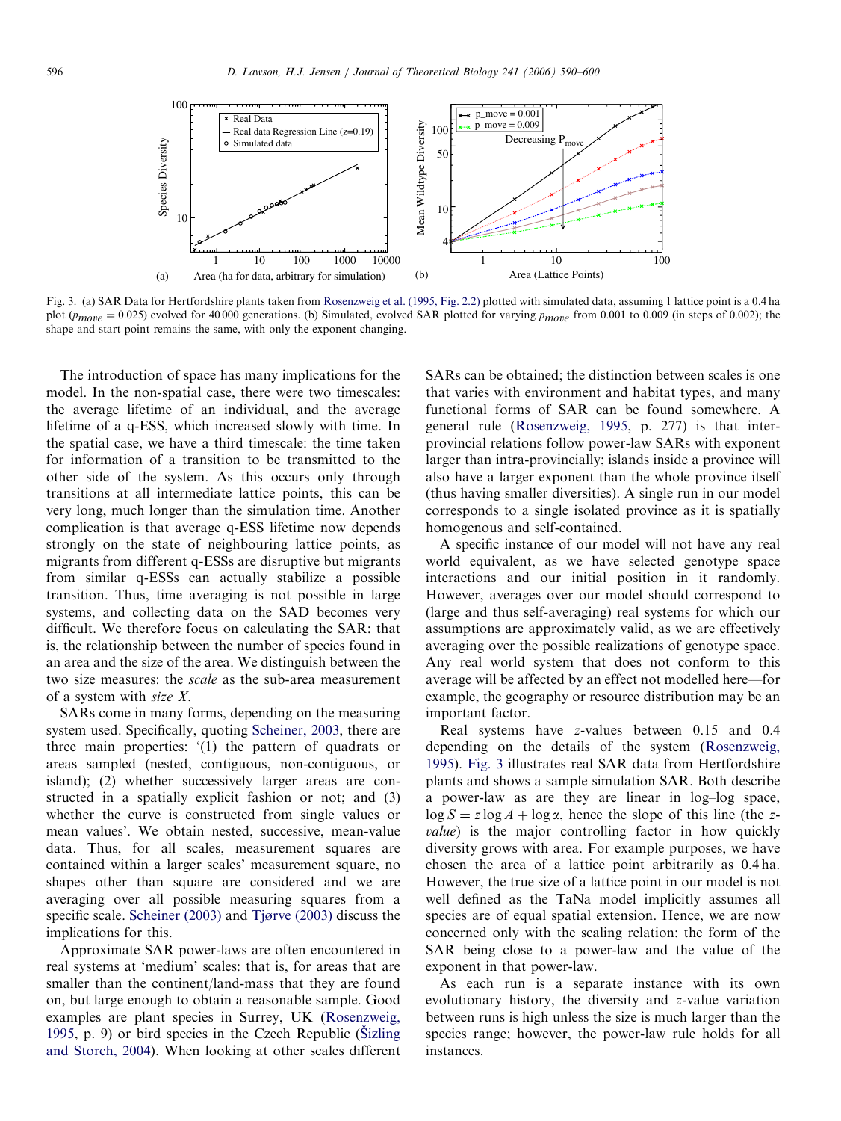<span id="page-6-0"></span>

Fig. 3. (a) SAR Data for Hertfordshire plants taken from [Rosenzweig et al. \(1995, Fig. 2.2\)](#page-10-0) plotted with simulated data, assuming 1 lattice point is a 0.4 ha plot  $(p_{move} = 0.025)$  evolved for 40 000 generations. (b) Simulated, evolved SAR plotted for varying  $p_{move}$  from 0.001 to 0.009 (in steps of 0.002); the shape and start point remains the same, with only the exponent changing.

The introduction of space has many implications for the model. In the non-spatial case, there were two timescales: the average lifetime of an individual, and the average lifetime of a q-ESS, which increased slowly with time. In the spatial case, we have a third timescale: the time taken for information of a transition to be transmitted to the other side of the system. As this occurs only through transitions at all intermediate lattice points, this can be very long, much longer than the simulation time. Another complication is that average q-ESS lifetime now depends strongly on the state of neighbouring lattice points, as migrants from different q-ESSs are disruptive but migrants from similar q-ESSs can actually stabilize a possible transition. Thus, time averaging is not possible in large systems, and collecting data on the SAD becomes very difficult. We therefore focus on calculating the SAR: that is, the relationship between the number of species found in an area and the size of the area. We distinguish between the two size measures: the scale as the sub-area measurement of a system with size X.

SARs come in many forms, depending on the measuring system used. Specifically, quoting [Scheiner, 2003](#page-10-0), there are three main properties: '(1) the pattern of quadrats or areas sampled (nested, contiguous, non-contiguous, or island); (2) whether successively larger areas are constructed in a spatially explicit fashion or not; and (3) whether the curve is constructed from single values or mean values'. We obtain nested, successive, mean-value data. Thus, for all scales, measurement squares are contained within a larger scales' measurement square, no shapes other than square are considered and we are averaging over all possible measuring squares from a specific scale. [Scheiner \(2003\)](#page-10-0) and [Tjørve \(2003\)](#page-10-0) discuss the implications for this.

Approximate SAR power-laws are often encountered in real systems at 'medium' scales: that is, for areas that are smaller than the continent/land-mass that they are found on, but large enough to obtain a reasonable sample. Good examples are plant species in Surrey, UK ([Rosenzweig,](#page-10-0) [1995,](#page-10-0) p. 9) or bird species in the Czech Republic (Sizling [and Storch, 2004\)](#page-10-0). When looking at other scales different SARs can be obtained; the distinction between scales is one that varies with environment and habitat types, and many functional forms of SAR can be found somewhere. A general rule [\(Rosenzweig, 1995,](#page-10-0) p. 277) is that interprovincial relations follow power-law SARs with exponent larger than intra-provincially; islands inside a province will also have a larger exponent than the whole province itself (thus having smaller diversities). A single run in our model corresponds to a single isolated province as it is spatially homogenous and self-contained.

A specific instance of our model will not have any real world equivalent, as we have selected genotype space interactions and our initial position in it randomly. However, averages over our model should correspond to (large and thus self-averaging) real systems for which our assumptions are approximately valid, as we are effectively averaging over the possible realizations of genotype space. Any real world system that does not conform to this average will be affected by an effect not modelled here—for example, the geography or resource distribution may be an important factor.

Real systems have z-values between 0.15 and 0.4 depending on the details of the system ([Rosenzweig,](#page-10-0) [1995\)](#page-10-0). Fig. 3 illustrates real SAR data from Hertfordshire plants and shows a sample simulation SAR. Both describe a power-law as are they are linear in log–log space,  $\log S = z \log A + \log \alpha$ , hence the slope of this line (the zvalue) is the major controlling factor in how quickly diversity grows with area. For example purposes, we have chosen the area of a lattice point arbitrarily as 0.4 ha. However, the true size of a lattice point in our model is not well defined as the TaNa model implicitly assumes all species are of equal spatial extension. Hence, we are now concerned only with the scaling relation: the form of the SAR being close to a power-law and the value of the exponent in that power-law.

As each run is a separate instance with its own evolutionary history, the diversity and z-value variation between runs is high unless the size is much larger than the species range; however, the power-law rule holds for all instances.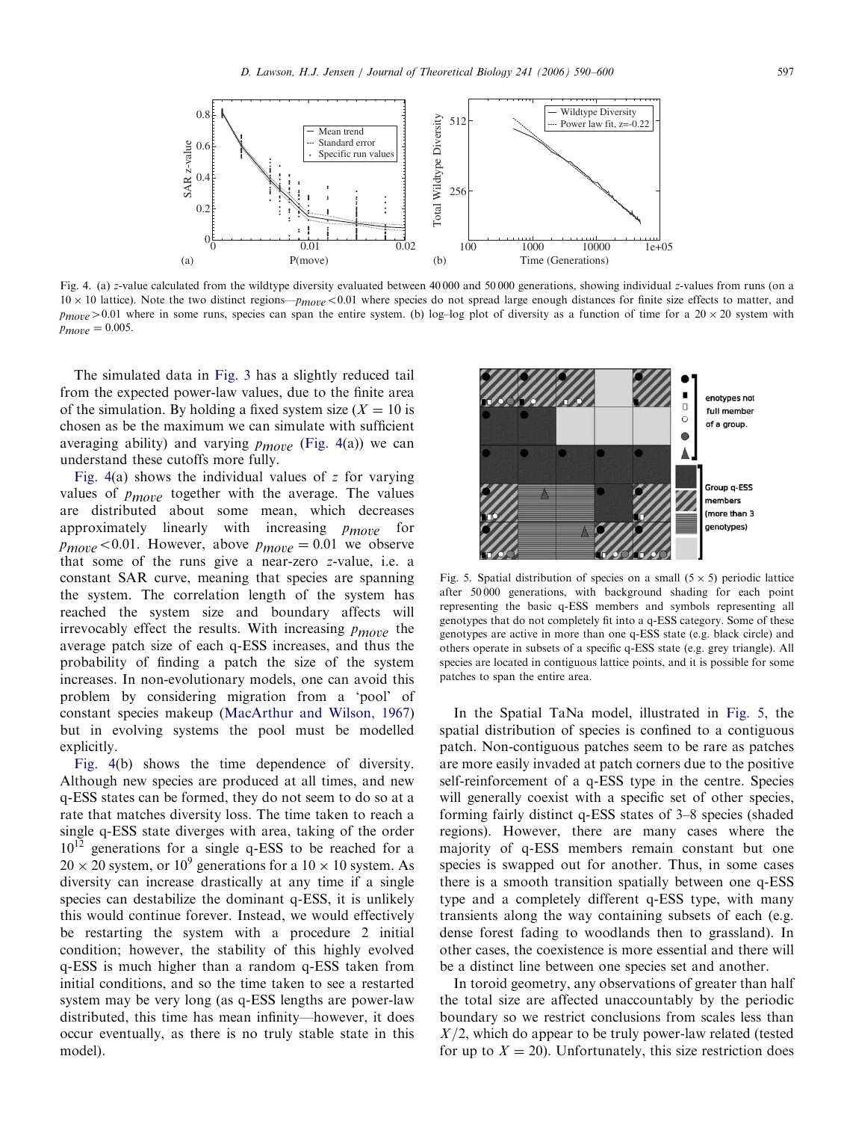<span id="page-7-0"></span>

Fig. 4. (a) z-value calculated from the wildtype diversity evaluated between 40 000 and 50 000 generations, showing individual z-values from runs (on a  $10 \times 10$  lattice). Note the two distinct regions— $p_{move} < 0.01$  where species do not spread large enough distances for finite size effects to matter, and  $p_{move} > 0.01$  where in some runs, species can span the entire system. (b) log-log plot of diversity as a function of time for a 20 × 20 system with  $p_{move} = 0.005.$ 

The simulated data in [Fig. 3](#page-6-0) has a slightly reduced tail from the expected power-law values, due to the finite area of the simulation. By holding a fixed system size  $(X = 10)$  is chosen as be the maximum we can simulate with sufficient averaging ability) and varying  $p_{move}$  (Fig. 4(a)) we can understand these cutoffs more fully.

Fig.  $4(a)$  shows the individual values of z for varying values of  $p_{move}$  together with the average. The values are distributed about some mean, which decreases approximately linearly with increasing  $p_{move}$  for  $p_{move} < 0.01$ . However, above  $p_{move} = 0.01$  we observe that some of the runs give a near-zero z-value, i.e. a constant SAR curve, meaning that species are spanning the system. The correlation length of the system has reached the system size and boundary affects will irrevocably effect the results. With increasing  $p_{move}$  the average patch size of each q-ESS increases, and thus the probability of finding a patch the size of the system increases. In non-evolutionary models, one can avoid this problem by considering migration from a 'pool' of constant species makeup ([MacArthur and Wilson, 1967](#page-10-0)) but in evolving systems the pool must be modelled explicitly.

Fig. 4(b) shows the time dependence of diversity. Although new species are produced at all times, and new q-ESS states can be formed, they do not seem to do so at a rate that matches diversity loss. The time taken to reach a single q-ESS state diverges with area, taking of the order  $10^{12}$  generations for a single q-ESS to be reached for a  $20 \times 20$  system, or  $10^9$  generations for a  $10 \times 10$  system. As diversity can increase drastically at any time if a single species can destabilize the dominant q-ESS, it is unlikely this would continue forever. Instead, we would effectively be restarting the system with a procedure 2 initial condition; however, the stability of this highly evolved q-ESS is much higher than a random q-ESS taken from initial conditions, and so the time taken to see a restarted system may be very long (as q-ESS lengths are power-law distributed, this time has mean infinity—however, it does occur eventually, as there is no truly stable state in this model).



Fig. 5. Spatial distribution of species on a small  $(5 \times 5)$  periodic lattice after 50 000 generations, with background shading for each point representing the basic q-ESS members and symbols representing all genotypes that do not completely fit into a q-ESS category. Some of these genotypes are active in more than one q-ESS state (e.g. black circle) and others operate in subsets of a specific q-ESS state (e.g. grey triangle). All species are located in contiguous lattice points, and it is possible for some patches to span the entire area.

In the Spatial TaNa model, illustrated in Fig. 5, the spatial distribution of species is confined to a contiguous patch. Non-contiguous patches seem to be rare as patches are more easily invaded at patch corners due to the positive self-reinforcement of a q-ESS type in the centre. Species will generally coexist with a specific set of other species, forming fairly distinct q-ESS states of 3–8 species (shaded regions). However, there are many cases where the majority of q-ESS members remain constant but one species is swapped out for another. Thus, in some cases there is a smooth transition spatially between one q-ESS type and a completely different q-ESS type, with many transients along the way containing subsets of each (e.g. dense forest fading to woodlands then to grassland). In other cases, the coexistence is more essential and there will be a distinct line between one species set and another.

In toroid geometry, any observations of greater than half the total size are affected unaccountably by the periodic boundary so we restrict conclusions from scales less than  $X/2$ , which do appear to be truly power-law related (tested for up to  $X = 20$ ). Unfortunately, this size restriction does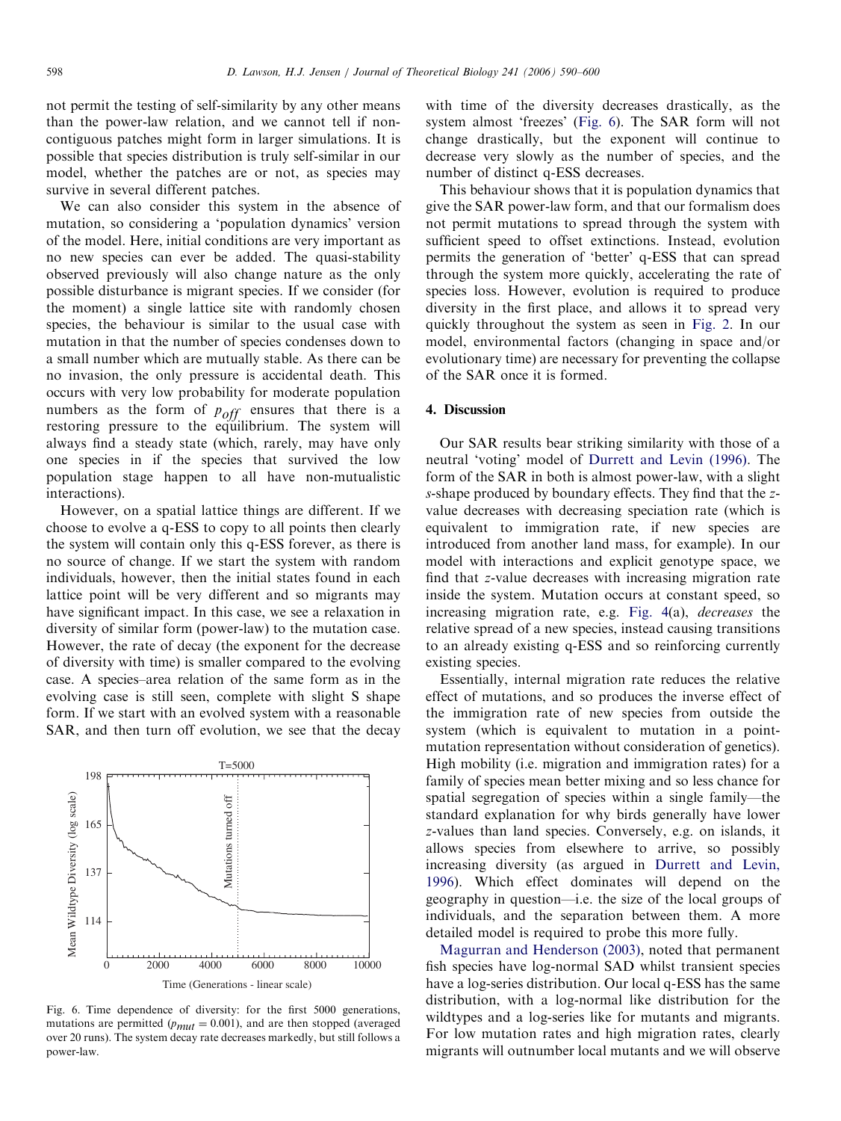not permit the testing of self-similarity by any other means than the power-law relation, and we cannot tell if noncontiguous patches might form in larger simulations. It is possible that species distribution is truly self-similar in our model, whether the patches are or not, as species may survive in several different patches.

We can also consider this system in the absence of mutation, so considering a 'population dynamics' version of the model. Here, initial conditions are very important as no new species can ever be added. The quasi-stability observed previously will also change nature as the only possible disturbance is migrant species. If we consider (for the moment) a single lattice site with randomly chosen species, the behaviour is similar to the usual case with mutation in that the number of species condenses down to a small number which are mutually stable. As there can be no invasion, the only pressure is accidental death. This occurs with very low probability for moderate population numbers as the form of  $p_{off}$  ensures that there is a restoring pressure to the equilibrium. The system will always find a steady state (which, rarely, may have only one species in if the species that survived the low population stage happen to all have non-mutualistic interactions).

However, on a spatial lattice things are different. If we choose to evolve a q-ESS to copy to all points then clearly the system will contain only this q-ESS forever, as there is no source of change. If we start the system with random individuals, however, then the initial states found in each lattice point will be very different and so migrants may have significant impact. In this case, we see a relaxation in diversity of similar form (power-law) to the mutation case. However, the rate of decay (the exponent for the decrease of diversity with time) is smaller compared to the evolving case. A species–area relation of the same form as in the evolving case is still seen, complete with slight S shape form. If we start with an evolved system with a reasonable SAR, and then turn off evolution, we see that the decay



Fig. 6. Time dependence of diversity: for the first 5000 generations, mutations are permitted  $(p_{mut} = 0.001)$ , and are then stopped (averaged over 20 runs). The system decay rate decreases markedly, but still follows a power-law.

with time of the diversity decreases drastically, as the system almost 'freezes' (Fig. 6). The SAR form will not change drastically, but the exponent will continue to decrease very slowly as the number of species, and the number of distinct q-ESS decreases.

This behaviour shows that it is population dynamics that give the SAR power-law form, and that our formalism does not permit mutations to spread through the system with sufficient speed to offset extinctions. Instead, evolution permits the generation of 'better' q-ESS that can spread through the system more quickly, accelerating the rate of species loss. However, evolution is required to produce diversity in the first place, and allows it to spread very quickly throughout the system as seen in [Fig. 2.](#page-5-0) In our model, environmental factors (changing in space and/or evolutionary time) are necessary for preventing the collapse of the SAR once it is formed.

## 4. Discussion

Our SAR results bear striking similarity with those of a neutral 'voting' model of [Durrett and Levin \(1996\)](#page-10-0). The form of the SAR in both is almost power-law, with a slight s-shape produced by boundary effects. They find that the zvalue decreases with decreasing speciation rate (which is equivalent to immigration rate, if new species are introduced from another land mass, for example). In our model with interactions and explicit genotype space, we find that z-value decreases with increasing migration rate inside the system. Mutation occurs at constant speed, so increasing migration rate, e.g. [Fig. 4\(](#page-7-0)a), decreases the relative spread of a new species, instead causing transitions to an already existing q-ESS and so reinforcing currently existing species.

Essentially, internal migration rate reduces the relative effect of mutations, and so produces the inverse effect of the immigration rate of new species from outside the system (which is equivalent to mutation in a pointmutation representation without consideration of genetics). High mobility (i.e. migration and immigration rates) for a family of species mean better mixing and so less chance for spatial segregation of species within a single family—the standard explanation for why birds generally have lower z-values than land species. Conversely, e.g. on islands, it allows species from elsewhere to arrive, so possibly increasing diversity (as argued in [Durrett and Levin,](#page-10-0) [1996\)](#page-10-0). Which effect dominates will depend on the geography in question—i.e. the size of the local groups of individuals, and the separation between them. A more detailed model is required to probe this more fully.

[Magurran and Henderson \(2003\),](#page-10-0) noted that permanent fish species have log-normal SAD whilst transient species have a log-series distribution. Our local q-ESS has the same distribution, with a log-normal like distribution for the wildtypes and a log-series like for mutants and migrants. For low mutation rates and high migration rates, clearly migrants will outnumber local mutants and we will observe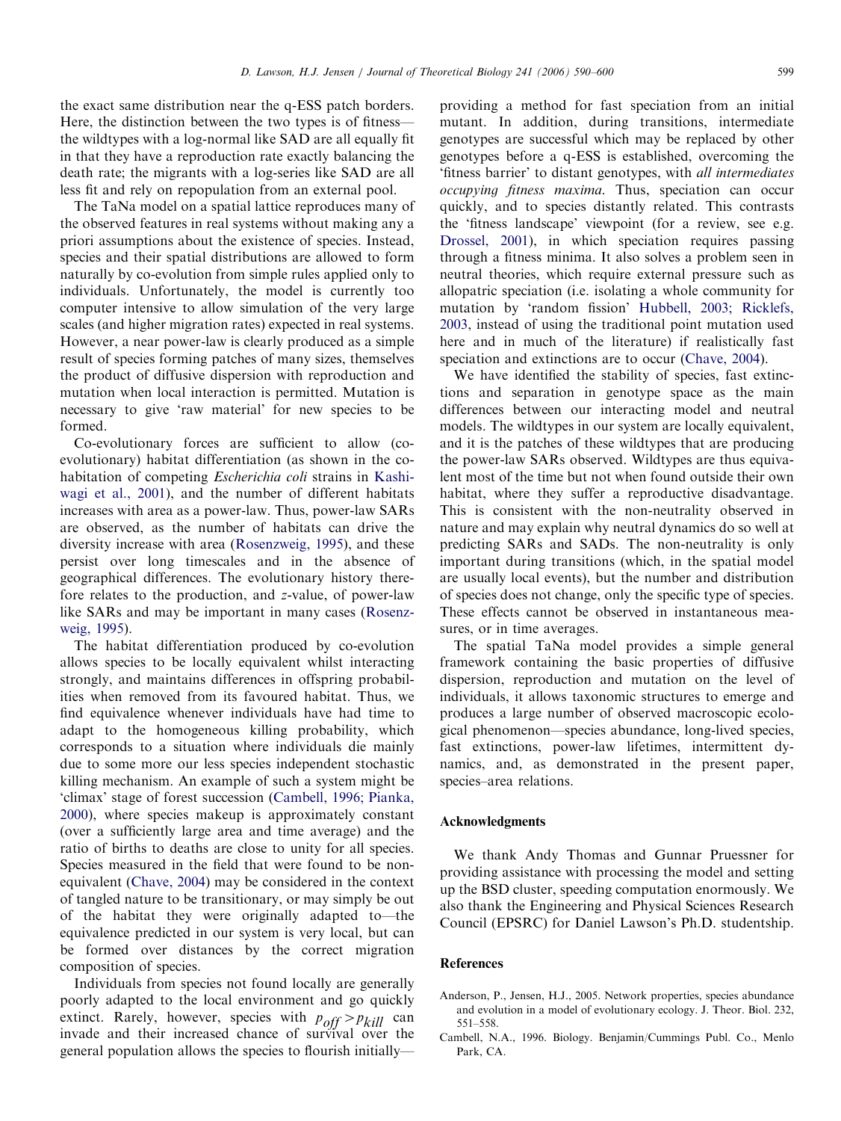<span id="page-9-0"></span>the exact same distribution near the q-ESS patch borders. Here, the distinction between the two types is of fitness the wildtypes with a log-normal like SAD are all equally fit in that they have a reproduction rate exactly balancing the death rate; the migrants with a log-series like SAD are all less fit and rely on repopulation from an external pool.

The TaNa model on a spatial lattice reproduces many of the observed features in real systems without making any a priori assumptions about the existence of species. Instead, species and their spatial distributions are allowed to form naturally by co-evolution from simple rules applied only to individuals. Unfortunately, the model is currently too computer intensive to allow simulation of the very large scales (and higher migration rates) expected in real systems. However, a near power-law is clearly produced as a simple result of species forming patches of many sizes, themselves the product of diffusive dispersion with reproduction and mutation when local interaction is permitted. Mutation is necessary to give 'raw material' for new species to be formed.

Co-evolutionary forces are sufficient to allow (coevolutionary) habitat differentiation (as shown in the cohabitation of competing Escherichia coli strains in [Kashi](#page-10-0)[wagi et al., 2001](#page-10-0)), and the number of different habitats increases with area as a power-law. Thus, power-law SARs are observed, as the number of habitats can drive the diversity increase with area ([Rosenzweig, 1995](#page-10-0)), and these persist over long timescales and in the absence of geographical differences. The evolutionary history therefore relates to the production, and z-value, of power-law like SARs and may be important in many cases ([Rosenz](#page-10-0)[weig, 1995\)](#page-10-0).

The habitat differentiation produced by co-evolution allows species to be locally equivalent whilst interacting strongly, and maintains differences in offspring probabilities when removed from its favoured habitat. Thus, we find equivalence whenever individuals have had time to adapt to the homogeneous killing probability, which corresponds to a situation where individuals die mainly due to some more our less species independent stochastic killing mechanism. An example of such a system might be 'climax' stage of forest succession (Cambell, 1996; Pianka, 2000), where species makeup is approximately constant (over a sufficiently large area and time average) and the ratio of births to deaths are close to unity for all species. Species measured in the field that were found to be nonequivalent ([Chave, 2004\)](#page-10-0) may be considered in the context of tangled nature to be transitionary, or may simply be out of the habitat they were originally adapted to—the equivalence predicted in our system is very local, but can be formed over distances by the correct migration composition of species.

Individuals from species not found locally are generally poorly adapted to the local environment and go quickly extinct. Rarely, however, species with  $p_{off} > p_{kill}$  can invade and their increased chance of survival over the general population allows the species to flourish initiallyproviding a method for fast speciation from an initial mutant. In addition, during transitions, intermediate genotypes are successful which may be replaced by other genotypes before a q-ESS is established, overcoming the 'fitness barrier' to distant genotypes, with all intermediates occupying fitness maxima. Thus, speciation can occur quickly, and to species distantly related. This contrasts the 'fitness landscape' viewpoint (for a review, see e.g. [Drossel, 2001\)](#page-10-0), in which speciation requires passing through a fitness minima. It also solves a problem seen in neutral theories, which require external pressure such as allopatric speciation (i.e. isolating a whole community for mutation by 'random fission' [Hubbell, 2003; Ricklefs,](#page-10-0) [2003](#page-10-0), instead of using the traditional point mutation used here and in much of the literature) if realistically fast speciation and extinctions are to occur [\(Chave, 2004](#page-10-0)).

We have identified the stability of species, fast extinctions and separation in genotype space as the main differences between our interacting model and neutral models. The wildtypes in our system are locally equivalent, and it is the patches of these wildtypes that are producing the power-law SARs observed. Wildtypes are thus equivalent most of the time but not when found outside their own habitat, where they suffer a reproductive disadvantage. This is consistent with the non-neutrality observed in nature and may explain why neutral dynamics do so well at predicting SARs and SADs. The non-neutrality is only important during transitions (which, in the spatial model are usually local events), but the number and distribution of species does not change, only the specific type of species. These effects cannot be observed in instantaneous measures, or in time averages.

The spatial TaNa model provides a simple general framework containing the basic properties of diffusive dispersion, reproduction and mutation on the level of individuals, it allows taxonomic structures to emerge and produces a large number of observed macroscopic ecological phenomenon—species abundance, long-lived species, fast extinctions, power-law lifetimes, intermittent dynamics, and, as demonstrated in the present paper, species–area relations.

#### Acknowledgments

We thank Andy Thomas and Gunnar Pruessner for providing assistance with processing the model and setting up the BSD cluster, speeding computation enormously. We also thank the Engineering and Physical Sciences Research Council (EPSRC) for Daniel Lawson's Ph.D. studentship.

# References

- Anderson, P., Jensen, H.J., 2005. Network properties, species abundance and evolution in a model of evolutionary ecology. J. Theor. Biol. 232, 551–558.
- Cambell, N.A., 1996. Biology. Benjamin/Cummings Publ. Co., Menlo Park, CA.